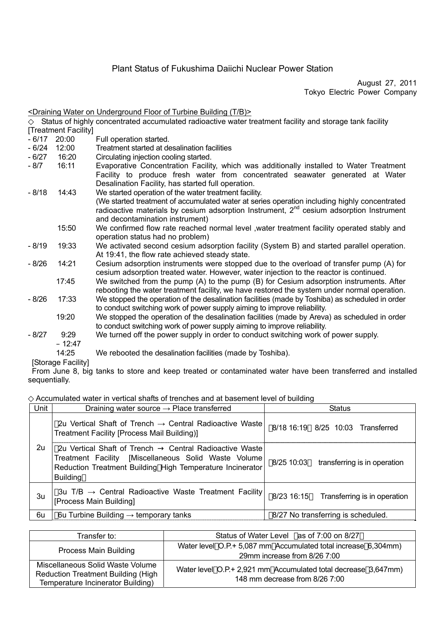# Plant Status of Fukushima Daiichi Nuclear Power Station

August 27, 2011 Tokyo Electric Power Company

| <draining (t="" b)="" building="" floor="" of="" on="" turbine="" underground="" water=""></draining>       |                                                                                                          |                                                                                                                                                                           |  |  |  |  |
|-------------------------------------------------------------------------------------------------------------|----------------------------------------------------------------------------------------------------------|---------------------------------------------------------------------------------------------------------------------------------------------------------------------------|--|--|--|--|
|                                                                                                             | Status of highly concentrated accumulated radioactive water treatment facility and storage tank facility |                                                                                                                                                                           |  |  |  |  |
|                                                                                                             | [Treatment Facility]                                                                                     |                                                                                                                                                                           |  |  |  |  |
| $-6/17$                                                                                                     | 20:00<br>Full operation started.                                                                         |                                                                                                                                                                           |  |  |  |  |
| $-6/24$                                                                                                     | 12:00                                                                                                    | Treatment started at desalination facilities                                                                                                                              |  |  |  |  |
| $-6/27$                                                                                                     | 16:20                                                                                                    | Circulating injection cooling started.                                                                                                                                    |  |  |  |  |
| - 8/7<br>16:11<br>Evaporative Concentration Facility, which was additionally installed to Water Treatment   |                                                                                                          |                                                                                                                                                                           |  |  |  |  |
|                                                                                                             |                                                                                                          | Facility to produce fresh water from concentrated seawater generated at Water                                                                                             |  |  |  |  |
|                                                                                                             |                                                                                                          | Desalination Facility, has started full operation.                                                                                                                        |  |  |  |  |
| $-8/18$                                                                                                     | 14:43                                                                                                    | We started operation of the water treatment facility.                                                                                                                     |  |  |  |  |
|                                                                                                             |                                                                                                          | (We started treatment of accumulated water at series operation including highly concentrated                                                                              |  |  |  |  |
|                                                                                                             |                                                                                                          | radioactive materials by cesium adsorption Instrument, 2 <sup>nd</sup> cesium adsorption Instrument                                                                       |  |  |  |  |
|                                                                                                             |                                                                                                          | and decontamination instrument)                                                                                                                                           |  |  |  |  |
|                                                                                                             | 15:50                                                                                                    | We confirmed flow rate reached normal level, water treatment facility operated stably and                                                                                 |  |  |  |  |
|                                                                                                             |                                                                                                          | operation status had no problem)                                                                                                                                          |  |  |  |  |
| $-8/19$                                                                                                     | 19:33                                                                                                    | We activated second cesium adsorption facility (System B) and started parallel operation.                                                                                 |  |  |  |  |
|                                                                                                             |                                                                                                          | At 19:41, the flow rate achieved steady state.                                                                                                                            |  |  |  |  |
| $-8/26$<br>14:21<br>Cesium adsorption instruments were stopped due to the overload of transfer pump (A) for |                                                                                                          |                                                                                                                                                                           |  |  |  |  |
|                                                                                                             |                                                                                                          | cesium adsorption treated water. However, water injection to the reactor is continued.                                                                                    |  |  |  |  |
| 17:45<br>We switched from the pump (A) to the pump $(B)$ for Cesium adsorption instruments. After           |                                                                                                          |                                                                                                                                                                           |  |  |  |  |
|                                                                                                             |                                                                                                          | rebooting the water treatment facility, we have restored the system under normal operation.                                                                               |  |  |  |  |
| $-8/26$                                                                                                     | 17:33                                                                                                    | We stopped the operation of the desalination facilities (made by Toshiba) as scheduled in order                                                                           |  |  |  |  |
|                                                                                                             | 19:20                                                                                                    | to conduct switching work of power supply aiming to improve reliability.<br>We stopped the operation of the desalination facilities (made by Areva) as scheduled in order |  |  |  |  |
|                                                                                                             |                                                                                                          | to conduct switching work of power supply aiming to improve reliability.                                                                                                  |  |  |  |  |
| $-8/27$                                                                                                     | 9:29                                                                                                     | We turned off the power supply in order to conduct switching work of power supply.                                                                                        |  |  |  |  |
|                                                                                                             | $-12:47$                                                                                                 |                                                                                                                                                                           |  |  |  |  |
|                                                                                                             |                                                                                                          |                                                                                                                                                                           |  |  |  |  |
|                                                                                                             | 14:25                                                                                                    | We rebooted the desalination facilities (made by Toshiba).                                                                                                                |  |  |  |  |

[Storage Facility]

From June 8, big tanks to store and keep treated or contaminated water have been transferred and installed sequentially.

#### Accumulated water in vertical shafts of trenches and at basement level of building

| Unit | Draining water source $\rightarrow$ Place transferred                                                                                                                                          | <b>Status</b>                              |  |  |
|------|------------------------------------------------------------------------------------------------------------------------------------------------------------------------------------------------|--------------------------------------------|--|--|
|      | 2u Vertical Shaft of Trench $\rightarrow$ Central Radioactive Waste<br>Treatment Facility [Process Mail Building)]                                                                             | 8/18 16:19 8/25 10:03 Transferred          |  |  |
| 2u   | 2u Vertical Shaft of Trench Central Radioactive Waste<br>Treatment Facility [Miscellaneous Solid Waste Volume]<br>Reduction Treatment Building High Temperature Incinerator<br><b>Building</b> | 8/25 10:03<br>transferring is in operation |  |  |
| 3u   | 3u T/B $\rightarrow$ Central Radioactive Waste Treatment Facility<br>[Process Main Building]                                                                                                   | 8/23 16:15<br>Transferring is in operation |  |  |
| 6u   | 6u Turbine Building $\rightarrow$ temporary tanks                                                                                                                                              | 8/27 No transferring is scheduled.         |  |  |

| Transfer to:                              | Status of Water Level as of 7:00 on 8/27                       |  |  |
|-------------------------------------------|----------------------------------------------------------------|--|--|
| <b>Process Main Building</b>              | Water level O.P.+ 5,087 mm Accumulated total increase 6,304mm) |  |  |
|                                           | 29mm increase from 8/26 7:00                                   |  |  |
| Miscellaneous Solid Waste Volume          | Water level O.P.+ 2,921 mm Accumulated total decrease 3,647mm) |  |  |
| <b>Reduction Treatment Building (High</b> | 148 mm decrease from 8/26 7:00                                 |  |  |
| Temperature Incinerator Building)         |                                                                |  |  |